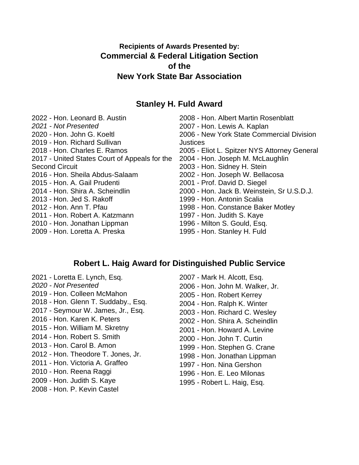# **Recipients of Awards Presented by: Commercial & Federal Litigation Section of the New York State Bar Association**

## **Stanley H. Fuld Award**

2022 - Hon. Leonard B. Austin *2021 - Not Presented* 2020 - Hon. John G. Koeltl 2019 - Hon. Richard Sullivan 2018 - Hon. Charles E. Ramos - United States Court of Appeals for the Second Circuit 2016 - Hon. Sheila Abdus-Salaam 2015 - Hon. A. Gail Prudenti 2014 - Hon. Shira A. Scheindlin 2013 - Hon. Jed S. Rakoff - Hon. Ann T. Pfau - Hon. Robert A. Katzmann - Hon. Jonathan Lippman - Hon. Loretta A. Preska

 - Hon. Albert Martin Rosenblatt - Hon. Lewis A. Kaplan - New York State Commercial Division **Justices**  - Eliot L. Spitzer NYS Attorney General - Hon. Joseph M. McLaughlin - Hon. Sidney H. Stein - Hon. Joseph W. Bellacosa - Prof. David D. Siegel - Hon. Jack B. Weinstein, Sr U.S.D.J. - Hon. Antonin Scalia - Hon. Constance Baker Motley - Hon. Judith S. Kaye - Milton S. Gould, Esq. - Hon. Stanley H. Fuld

## **Robert L. Haig Award for Distinguished Public Service**

- 2021 Loretta E. Lynch, Esq. *2020 - Not Presented* 2019 - Hon. Colleen McMahon - Hon. Glenn T. Suddaby., Esq. - Seymour W. James, Jr., Esq. - Hon. Karen K. Peters - Hon. William M. Skretny - Hon. Robert S. Smith - Hon. Carol B. Amon - Hon. Theodore T. Jones, Jr. - Hon. Victoria A. Graffeo - Hon. Reena Raggi - Hon. Judith S. Kaye - Hon. P. Kevin Castel
- Mark H. Alcott, Esq. - Hon. John M. Walker, Jr. - Hon. Robert Kerrey - Hon. Ralph K. Winter - Hon. Richard C. Wesley - Hon. Shira A. Scheindlin - Hon. Howard A. Levine - Hon. John T. Curtin - Hon. Stephen G. Crane - Hon. Jonathan Lippman - Hon. Nina Gershon - Hon. E. Leo Milonas - Robert L. Haig, Esq.